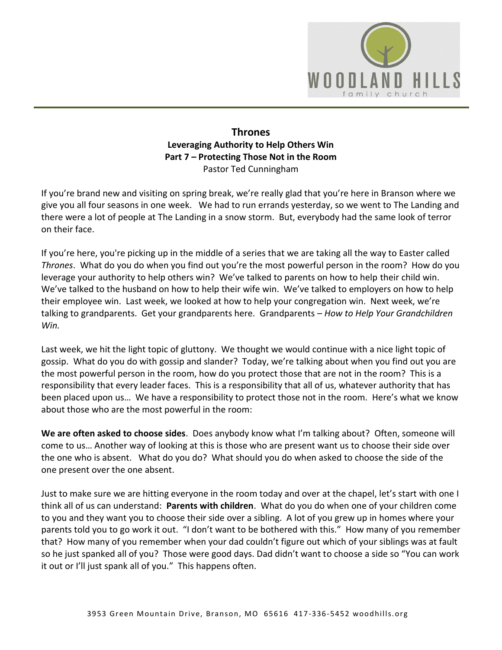

## **Thrones Leveraging Authority to Help Others Win Part 7 – Protecting Those Not in the Room**  Pastor Ted Cunningham

If you're brand new and visiting on spring break, we're really glad that you're here in Branson where we give you all four seasons in one week. We had to run errands yesterday, so we went to The Landing and there were a lot of people at The Landing in a snow storm. But, everybody had the same look of terror on their face.

If you're here, you're picking up in the middle of a series that we are taking all the way to Easter called *Thrones*. What do you do when you find out you're the most powerful person in the room? How do you leverage your authority to help others win? We've talked to parents on how to help their child win. We've talked to the husband on how to help their wife win. We've talked to employers on how to help their employee win. Last week, we looked at how to help your congregation win. Next week, we're talking to grandparents. Get your grandparents here. Grandparents – *How to Help Your Grandchildren Win.* 

Last week, we hit the light topic of gluttony. We thought we would continue with a nice light topic of gossip. What do you do with gossip and slander? Today, we're talking about when you find out you are the most powerful person in the room, how do you protect those that are not in the room? This is a responsibility that every leader faces. This is a responsibility that all of us, whatever authority that has been placed upon us… We have a responsibility to protect those not in the room. Here's what we know about those who are the most powerful in the room:

**We are often asked to choose sides**. Does anybody know what I'm talking about? Often, someone will come to us… Another way of looking at this is those who are present want us to choose their side over the one who is absent. What do you do? What should you do when asked to choose the side of the one present over the one absent.

Just to make sure we are hitting everyone in the room today and over at the chapel, let's start with one I think all of us can understand: **Parents with children**. What do you do when one of your children come to you and they want you to choose their side over a sibling. A lot of you grew up in homes where your parents told you to go work it out. "I don't want to be bothered with this." How many of you remember that? How many of you remember when your dad couldn't figure out which of your siblings was at fault so he just spanked all of you? Those were good days. Dad didn't want to choose a side so "You can work it out or I'll just spank all of you." This happens often.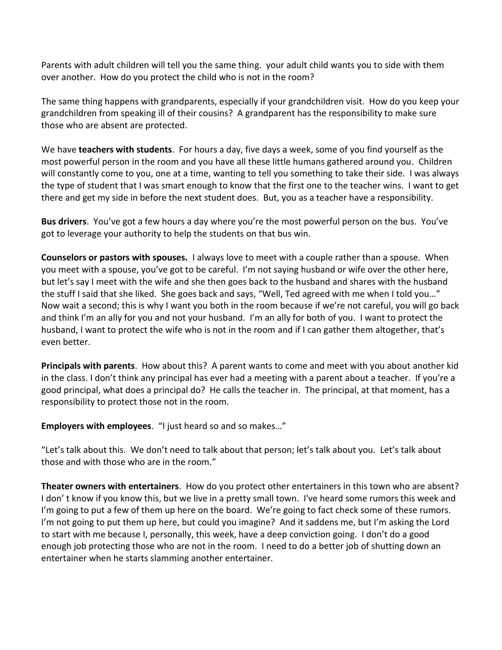Parents with adult children will tell you the same thing. your adult child wants you to side with them over another. How do you protect the child who is not in the room?

The same thing happens with grandparents, especially if your grandchildren visit. How do you keep your grandchildren from speaking ill of their cousins? A grandparent has the responsibility to make sure those who are absent are protected.

We have **teachers with students**. For hours a day, five days a week, some of you find yourself as the most powerful person in the room and you have all these little humans gathered around you. Children will constantly come to you, one at a time, wanting to tell you something to take their side. I was always the type of student that I was smart enough to know that the first one to the teacher wins. I want to get there and get my side in before the next student does. But, you as a teacher have a responsibility.

**Bus drivers**. You've got a few hours a day where you're the most powerful person on the bus. You've got to leverage your authority to help the students on that bus win.

**Counselors or pastors with spouses.** I always love to meet with a couple rather than a spouse. When you meet with a spouse, you've got to be careful. I'm not saying husband or wife over the other here, but let's say I meet with the wife and she then goes back to the husband and shares with the husband the stuff I said that she liked. She goes back and says, "Well, Ted agreed with me when I told you…" Now wait a second; this is why I want you both in the room because if we're not careful, you will go back and think I'm an ally for you and not your husband. I'm an ally for both of you. I want to protect the husband, I want to protect the wife who is not in the room and if I can gather them altogether, that's even better.

**Principals with parents**. How about this? A parent wants to come and meet with you about another kid in the class. I don't think any principal has ever had a meeting with a parent about a teacher. If you're a good principal, what does a principal do? He calls the teacher in. The principal, at that moment, has a responsibility to protect those not in the room.

**Employers with employees**. "I just heard so and so makes…"

"Let's talk about this. We don't need to talk about that person; let's talk about you. Let's talk about those and with those who are in the room."

**Theater owners with entertainers**. How do you protect other entertainers in this town who are absent? I don' t know if you know this, but we live in a pretty small town. I've heard some rumors this week and I'm going to put a few of them up here on the board. We're going to fact check some of these rumors. I'm not going to put them up here, but could you imagine? And it saddens me, but I'm asking the Lord to start with me because I, personally, this week, have a deep conviction going. I don't do a good enough job protecting those who are not in the room. I need to do a better job of shutting down an entertainer when he starts slamming another entertainer.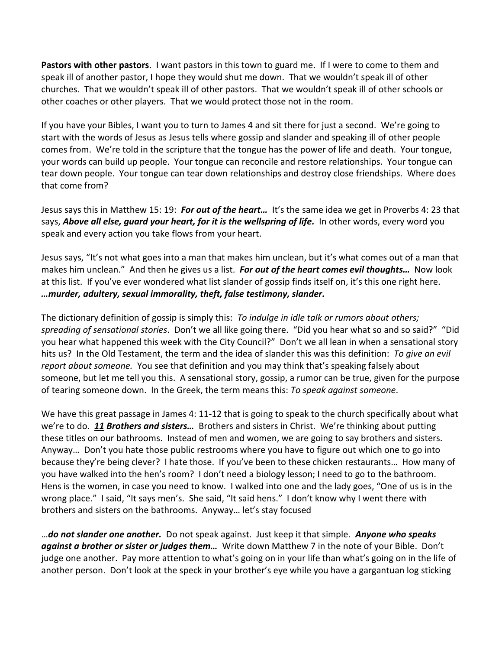**Pastors with other pastors**. I want pastors in this town to guard me. If I were to come to them and speak ill of another pastor, I hope they would shut me down. That we wouldn't speak ill of other churches. That we wouldn't speak ill of other pastors. That we wouldn't speak ill of other schools or other coaches or other players. That we would protect those not in the room.

If you have your Bibles, I want you to turn to James 4 and sit there for just a second. We're going to start with the words of Jesus as Jesus tells where gossip and slander and speaking ill of other people comes from. We're told in the scripture that the tongue has the power of life and death. Your tongue, your words can build up people. Your tongue can reconcile and restore relationships. Your tongue can tear down people. Your tongue can tear down relationships and destroy close friendships. Where does that come from?

Jesus says this in Matthew 15: 19: *For out of the heart…* It's the same idea we get in Proverbs 4: 23 that says, *Above all else, guard your heart, for it is the wellspring of life.* In other words, every word you speak and every action you take flows from your heart.

Jesus says, "It's not what goes into a man that makes him unclean, but it's what comes out of a man that makes him unclean." And then he gives us a list. *For out of the heart comes evil thoughts…* Now look at this list. If you've ever wondered what list slander of gossip finds itself on, it's this one right here. *…murder, adultery, sexual immorality, theft, false testimony, slander.* 

The dictionary definition of gossip is simply this: *To indulge in idle talk or rumors about others; spreading of sensational stories*. Don't we all like going there. "Did you hear what so and so said?" "Did you hear what happened this week with the City Council?" Don't we all lean in when a sensational story hits us? In the Old Testament, the term and the idea of slander this was this definition: *To give an evil report about someone.* You see that definition and you may think that's speaking falsely about someone, but let me tell you this. A sensational story, gossip, a rumor can be true, given for the purpose of tearing someone down. In the Greek, the term means this: *To speak against someone*.

We have this great passage in James 4: 11-12 that is going to speak to the church specifically about what we're to do. *[11](http://www.studylight.org/desk/?q=jas%204:11&t1=en_niv&sr=1) Brothers and sisters…* Brothers and sisters in Christ. We're thinking about putting these titles on our bathrooms. Instead of men and women, we are going to say brothers and sisters. Anyway… Don't you hate those public restrooms where you have to figure out which one to go into because they're being clever? I hate those. If you've been to these chicken restaurants… How many of you have walked into the hen's room? I don't need a biology lesson; I need to go to the bathroom. Hens is the women, in case you need to know. I walked into one and the lady goes, "One of us is in the wrong place." I said, "It says men's. She said, "It said hens." I don't know why I went there with brothers and sisters on the bathrooms. Anyway… let's stay focused

…*do not slander one another.* Do not speak against. Just keep it that simple. *Anyone who speaks against a brother or sister or judges them…* Write down Matthew 7 in the note of your Bible. Don't judge one another. Pay more attention to what's going on in your life than what's going on in the life of another person. Don't look at the speck in your brother's eye while you have a gargantuan log sticking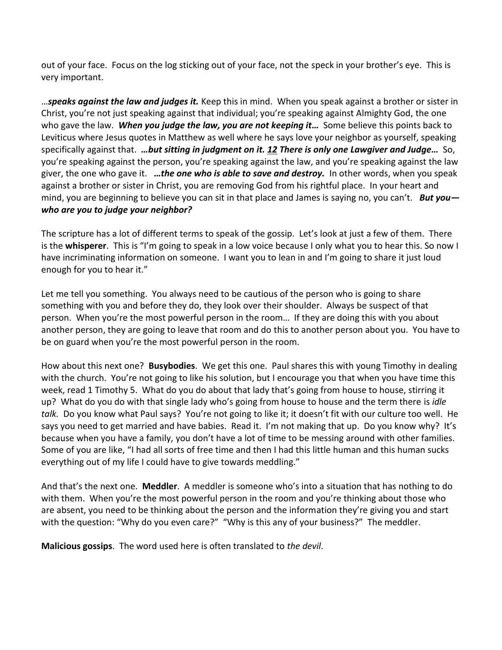out of your face. Focus on the log sticking out of your face, not the speck in your brother's eye. This is very important.

…*speaks against the law and judges it.* Keep this in mind. When you speak against a brother or sister in Christ, you're not just speaking against that individual; you're speaking against Almighty God, the one who gave the law. *When you judge the law, you are not keeping it…* Some believe this points back to Leviticus where Jesus quotes in Matthew as well where he says love your neighbor as yourself, speaking specifically against that. *…but sitting in judgment on it. [12](http://www.studylight.org/desk/?q=jas%204:12&t1=en_niv&sr=1) There is only one Lawgiver and Judge…* So, you're speaking against the person, you're speaking against the law, and you're speaking against the law giver, the one who gave it. *…the one who is able to save and destroy.* In other words, when you speak against a brother or sister in Christ, you are removing God from his rightful place. In your heart and mind, you are beginning to believe you can sit in that place and James is saying no, you can't. *But you who are you to judge your neighbor?*

The scripture has a lot of different terms to speak of the gossip. Let's look at just a few of them. There is the **whisperer**. This is "I'm going to speak in a low voice because I only what you to hear this. So now I have incriminating information on someone. I want you to lean in and I'm going to share it just loud enough for you to hear it."

Let me tell you something. You always need to be cautious of the person who is going to share something with you and before they do, they look over their shoulder. Always be suspect of that person. When you're the most powerful person in the room… If they are doing this with you about another person, they are going to leave that room and do this to another person about you. You have to be on guard when you're the most powerful person in the room.

How about this next one? **Busybodies**. We get this one. Paul shares this with young Timothy in dealing with the church. You're not going to like his solution, but I encourage you that when you have time this week, read 1 Timothy 5. What do you do about that lady that's going from house to house, stirring it up? What do you do with that single lady who's going from house to house and the term there is *idle talk.* Do you know what Paul says? You're not going to like it; it doesn't fit with our culture too well. He says you need to get married and have babies. Read it. I'm not making that up. Do you know why? It's because when you have a family, you don't have a lot of time to be messing around with other families. Some of you are like, "I had all sorts of free time and then I had this little human and this human sucks everything out of my life I could have to give towards meddling."

And that's the next one. **Meddler**. A meddler is someone who's into a situation that has nothing to do with them. When you're the most powerful person in the room and you're thinking about those who are absent, you need to be thinking about the person and the information they're giving you and start with the question: "Why do you even care?" "Why is this any of your business?" The meddler.

**Malicious gossips**. The word used here is often translated to *the devil*.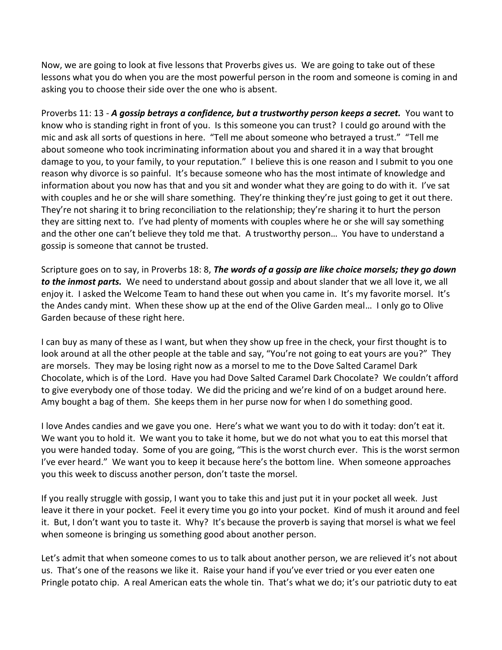Now, we are going to look at five lessons that Proverbs gives us. We are going to take out of these lessons what you do when you are the most powerful person in the room and someone is coming in and asking you to choose their side over the one who is absent.

Proverbs 11: 13 - *A gossip betrays a confidence, but a trustworthy person keeps a secret.* You want to know who is standing right in front of you. Is this someone you can trust? I could go around with the mic and ask all sorts of questions in here. "Tell me about someone who betrayed a trust." "Tell me about someone who took incriminating information about you and shared it in a way that brought damage to you, to your family, to your reputation." I believe this is one reason and I submit to you one reason why divorce is so painful. It's because someone who has the most intimate of knowledge and information about you now has that and you sit and wonder what they are going to do with it. I've sat with couples and he or she will share something. They're thinking they're just going to get it out there. They're not sharing it to bring reconciliation to the relationship; they're sharing it to hurt the person they are sitting next to. I've had plenty of moments with couples where he or she will say something and the other one can't believe they told me that. A trustworthy person… You have to understand a gossip is someone that cannot be trusted.

Scripture goes on to say, in Proverbs 18: 8, *The words of a gossip are like choice morsels; they go down to the inmost parts.* We need to understand about gossip and about slander that we all love it, we all enjoy it. I asked the Welcome Team to hand these out when you came in. It's my favorite morsel. It's the Andes candy mint. When these show up at the end of the Olive Garden meal… I only go to Olive Garden because of these right here.

I can buy as many of these as I want, but when they show up free in the check, your first thought is to look around at all the other people at the table and say, "You're not going to eat yours are you?" They are morsels. They may be losing right now as a morsel to me to the Dove Salted Caramel Dark Chocolate, which is of the Lord. Have you had Dove Salted Caramel Dark Chocolate? We couldn't afford to give everybody one of those today. We did the pricing and we're kind of on a budget around here. Amy bought a bag of them. She keeps them in her purse now for when I do something good.

I love Andes candies and we gave you one. Here's what we want you to do with it today: don't eat it. We want you to hold it. We want you to take it home, but we do not what you to eat this morsel that you were handed today. Some of you are going, "This is the worst church ever. This is the worst sermon I've ever heard." We want you to keep it because here's the bottom line. When someone approaches you this week to discuss another person, don't taste the morsel.

If you really struggle with gossip, I want you to take this and just put it in your pocket all week. Just leave it there in your pocket. Feel it every time you go into your pocket. Kind of mush it around and feel it. But, I don't want you to taste it. Why? It's because the proverb is saying that morsel is what we feel when someone is bringing us something good about another person.

Let's admit that when someone comes to us to talk about another person, we are relieved it's not about us. That's one of the reasons we like it. Raise your hand if you've ever tried or you ever eaten one Pringle potato chip. A real American eats the whole tin. That's what we do; it's our patriotic duty to eat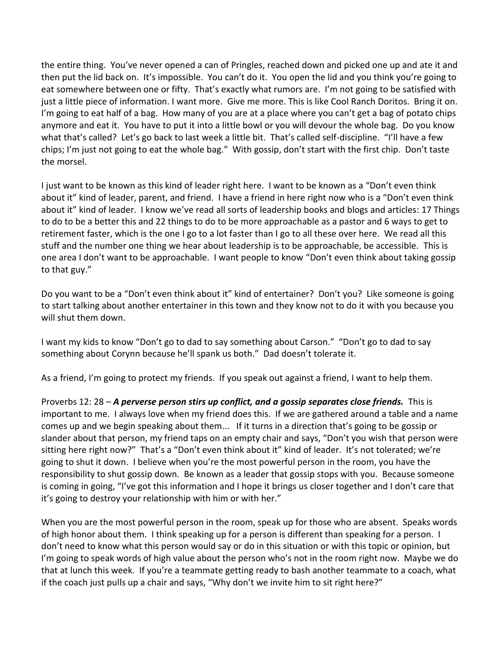the entire thing. You've never opened a can of Pringles, reached down and picked one up and ate it and then put the lid back on. It's impossible. You can't do it. You open the lid and you think you're going to eat somewhere between one or fifty. That's exactly what rumors are. I'm not going to be satisfied with just a little piece of information. I want more. Give me more. This is like Cool Ranch Doritos. Bring it on. I'm going to eat half of a bag. How many of you are at a place where you can't get a bag of potato chips anymore and eat it. You have to put it into a little bowl or you will devour the whole bag. Do you know what that's called? Let's go back to last week a little bit. That's called self-discipline. "I'll have a few chips; I'm just not going to eat the whole bag." With gossip, don't start with the first chip. Don't taste the morsel.

I just want to be known as this kind of leader right here. I want to be known as a "Don't even think about it" kind of leader, parent, and friend. I have a friend in here right now who is a "Don't even think about it" kind of leader. I know we've read all sorts of leadership books and blogs and articles: 17 Things to do to be a better this and 22 things to do to be more approachable as a pastor and 6 ways to get to retirement faster, which is the one I go to a lot faster than I go to all these over here. We read all this stuff and the number one thing we hear about leadership is to be approachable, be accessible. This is one area I don't want to be approachable. I want people to know "Don't even think about taking gossip to that guy."

Do you want to be a "Don't even think about it" kind of entertainer? Don't you? Like someone is going to start talking about another entertainer in this town and they know not to do it with you because you will shut them down.

I want my kids to know "Don't go to dad to say something about Carson." "Don't go to dad to say something about Corynn because he'll spank us both." Dad doesn't tolerate it.

As a friend, I'm going to protect my friends. If you speak out against a friend, I want to help them.

Proverbs 12: 28 – *A perverse person stirs up conflict, and a gossip separates close friends.* This is important to me. I always love when my friend does this. If we are gathered around a table and a name comes up and we begin speaking about them... If it turns in a direction that's going to be gossip or slander about that person, my friend taps on an empty chair and says, "Don't you wish that person were sitting here right now?" That's a "Don't even think about it" kind of leader. It's not tolerated; we're going to shut it down. I believe when you're the most powerful person in the room, you have the responsibility to shut gossip down. Be known as a leader that gossip stops with you. Because someone is coming in going, "I've got this information and I hope it brings us closer together and I don't care that it's going to destroy your relationship with him or with her."

When you are the most powerful person in the room, speak up for those who are absent. Speaks words of high honor about them. I think speaking up for a person is different than speaking for a person. I don't need to know what this person would say or do in this situation or with this topic or opinion, but I'm going to speak words of high value about the person who's not in the room right now. Maybe we do that at lunch this week. If you're a teammate getting ready to bash another teammate to a coach, what if the coach just pulls up a chair and says, "Why don't we invite him to sit right here?"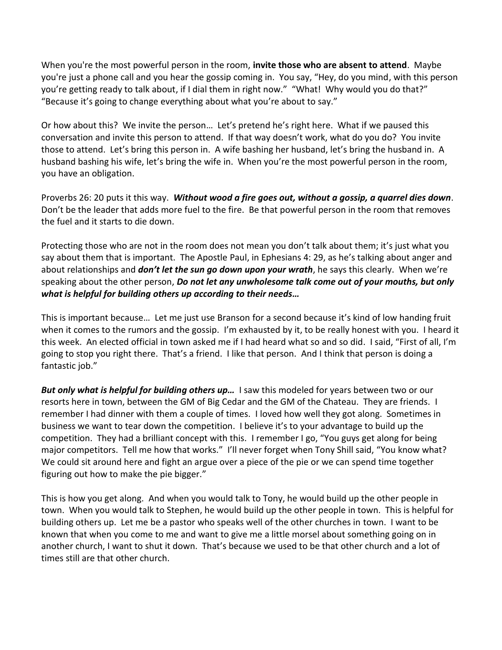When you're the most powerful person in the room, **invite those who are absent to attend**. Maybe you're just a phone call and you hear the gossip coming in. You say, "Hey, do you mind, with this person you're getting ready to talk about, if I dial them in right now." "What! Why would you do that?" "Because it's going to change everything about what you're about to say."

Or how about this? We invite the person… Let's pretend he's right here. What if we paused this conversation and invite this person to attend. If that way doesn't work, what do you do? You invite those to attend. Let's bring this person in. A wife bashing her husband, let's bring the husband in. A husband bashing his wife, let's bring the wife in. When you're the most powerful person in the room, you have an obligation.

Proverbs 26: 20 puts it this way. *Without wood a fire goes out, without a gossip, a quarrel dies down*. Don't be the leader that adds more fuel to the fire. Be that powerful person in the room that removes the fuel and it starts to die down.

Protecting those who are not in the room does not mean you don't talk about them; it's just what you say about them that is important. The Apostle Paul, in Ephesians 4: 29, as he's talking about anger and about relationships and *don't let the sun go down upon your wrath*, he says this clearly. When we're speaking about the other person, *Do not let any unwholesome talk come out of your mouths, but only what is helpful for building others up according to their needs…*

This is important because… Let me just use Branson for a second because it's kind of low handing fruit when it comes to the rumors and the gossip. I'm exhausted by it, to be really honest with you. I heard it this week. An elected official in town asked me if I had heard what so and so did. I said, "First of all, I'm going to stop you right there. That's a friend. I like that person. And I think that person is doing a fantastic job."

*But only what is helpful for building others up...* **I saw this modeled for years between two or our** resorts here in town, between the GM of Big Cedar and the GM of the Chateau. They are friends. I remember I had dinner with them a couple of times. I loved how well they got along. Sometimes in business we want to tear down the competition. I believe it's to your advantage to build up the competition. They had a brilliant concept with this. I remember I go, "You guys get along for being major competitors. Tell me how that works." I'll never forget when Tony Shill said, "You know what? We could sit around here and fight an argue over a piece of the pie or we can spend time together figuring out how to make the pie bigger."

This is how you get along. And when you would talk to Tony, he would build up the other people in town. When you would talk to Stephen, he would build up the other people in town. This is helpful for building others up. Let me be a pastor who speaks well of the other churches in town. I want to be known that when you come to me and want to give me a little morsel about something going on in another church, I want to shut it down. That's because we used to be that other church and a lot of times still are that other church.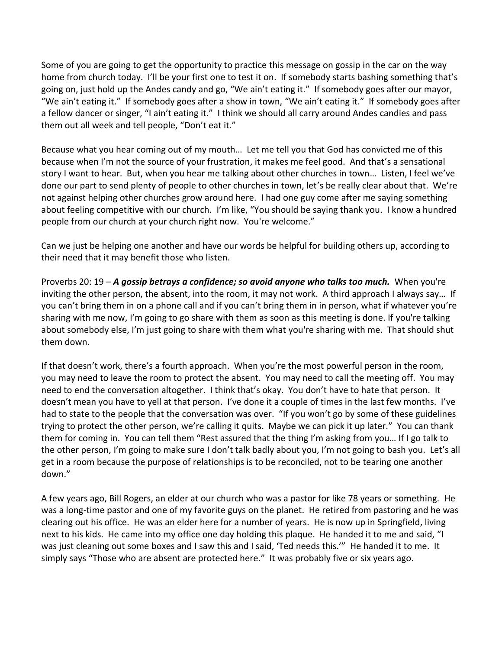Some of you are going to get the opportunity to practice this message on gossip in the car on the way home from church today. I'll be your first one to test it on. If somebody starts bashing something that's going on, just hold up the Andes candy and go, "We ain't eating it." If somebody goes after our mayor, "We ain't eating it." If somebody goes after a show in town, "We ain't eating it." If somebody goes after a fellow dancer or singer, "I ain't eating it." I think we should all carry around Andes candies and pass them out all week and tell people, "Don't eat it."

Because what you hear coming out of my mouth… Let me tell you that God has convicted me of this because when I'm not the source of your frustration, it makes me feel good. And that's a sensational story I want to hear. But, when you hear me talking about other churches in town… Listen, I feel we've done our part to send plenty of people to other churches in town, let's be really clear about that. We're not against helping other churches grow around here. I had one guy come after me saying something about feeling competitive with our church. I'm like, "You should be saying thank you. I know a hundred people from our church at your church right now. You're welcome."

Can we just be helping one another and have our words be helpful for building others up, according to their need that it may benefit those who listen.

Proverbs 20: 19 – *A gossip betrays a confidence; so avoid anyone who talks too much.* When you're inviting the other person, the absent, into the room, it may not work. A third approach I always say… If you can't bring them in on a phone call and if you can't bring them in in person, what if whatever you're sharing with me now, I'm going to go share with them as soon as this meeting is done. If you're talking about somebody else, I'm just going to share with them what you're sharing with me. That should shut them down.

If that doesn't work, there's a fourth approach. When you're the most powerful person in the room, you may need to leave the room to protect the absent. You may need to call the meeting off. You may need to end the conversation altogether. I think that's okay. You don't have to hate that person. It doesn't mean you have to yell at that person. I've done it a couple of times in the last few months. I've had to state to the people that the conversation was over. "If you won't go by some of these guidelines trying to protect the other person, we're calling it quits. Maybe we can pick it up later." You can thank them for coming in. You can tell them "Rest assured that the thing I'm asking from you… If I go talk to the other person, I'm going to make sure I don't talk badly about you, I'm not going to bash you. Let's all get in a room because the purpose of relationships is to be reconciled, not to be tearing one another down."

A few years ago, Bill Rogers, an elder at our church who was a pastor for like 78 years or something. He was a long-time pastor and one of my favorite guys on the planet. He retired from pastoring and he was clearing out his office. He was an elder here for a number of years. He is now up in Springfield, living next to his kids. He came into my office one day holding this plaque. He handed it to me and said, "I was just cleaning out some boxes and I saw this and I said, 'Ted needs this.'" He handed it to me. It simply says "Those who are absent are protected here." It was probably five or six years ago.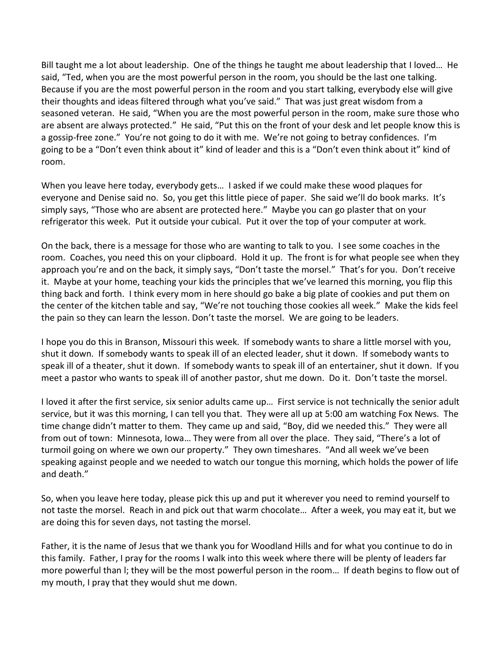Bill taught me a lot about leadership. One of the things he taught me about leadership that I loved… He said, "Ted, when you are the most powerful person in the room, you should be the last one talking. Because if you are the most powerful person in the room and you start talking, everybody else will give their thoughts and ideas filtered through what you've said." That was just great wisdom from a seasoned veteran. He said, "When you are the most powerful person in the room, make sure those who are absent are always protected." He said, "Put this on the front of your desk and let people know this is a gossip-free zone." You're not going to do it with me. We're not going to betray confidences. I'm going to be a "Don't even think about it" kind of leader and this is a "Don't even think about it" kind of room.

When you leave here today, everybody gets… I asked if we could make these wood plaques for everyone and Denise said no. So, you get this little piece of paper. She said we'll do book marks. It's simply says, "Those who are absent are protected here." Maybe you can go plaster that on your refrigerator this week. Put it outside your cubical. Put it over the top of your computer at work.

On the back, there is a message for those who are wanting to talk to you. I see some coaches in the room. Coaches, you need this on your clipboard. Hold it up. The front is for what people see when they approach you're and on the back, it simply says, "Don't taste the morsel." That's for you. Don't receive it. Maybe at your home, teaching your kids the principles that we've learned this morning, you flip this thing back and forth. I think every mom in here should go bake a big plate of cookies and put them on the center of the kitchen table and say, "We're not touching those cookies all week." Make the kids feel the pain so they can learn the lesson. Don't taste the morsel. We are going to be leaders.

I hope you do this in Branson, Missouri this week. If somebody wants to share a little morsel with you, shut it down. If somebody wants to speak ill of an elected leader, shut it down. If somebody wants to speak ill of a theater, shut it down. If somebody wants to speak ill of an entertainer, shut it down. If you meet a pastor who wants to speak ill of another pastor, shut me down. Do it. Don't taste the morsel.

I loved it after the first service, six senior adults came up… First service is not technically the senior adult service, but it was this morning, I can tell you that. They were all up at 5:00 am watching Fox News. The time change didn't matter to them. They came up and said, "Boy, did we needed this." They were all from out of town: Minnesota, Iowa… They were from all over the place. They said, "There's a lot of turmoil going on where we own our property." They own timeshares. "And all week we've been speaking against people and we needed to watch our tongue this morning, which holds the power of life and death."

So, when you leave here today, please pick this up and put it wherever you need to remind yourself to not taste the morsel. Reach in and pick out that warm chocolate… After a week, you may eat it, but we are doing this for seven days, not tasting the morsel.

Father, it is the name of Jesus that we thank you for Woodland Hills and for what you continue to do in this family. Father, I pray for the rooms I walk into this week where there will be plenty of leaders far more powerful than l; they will be the most powerful person in the room… If death begins to flow out of my mouth, I pray that they would shut me down.